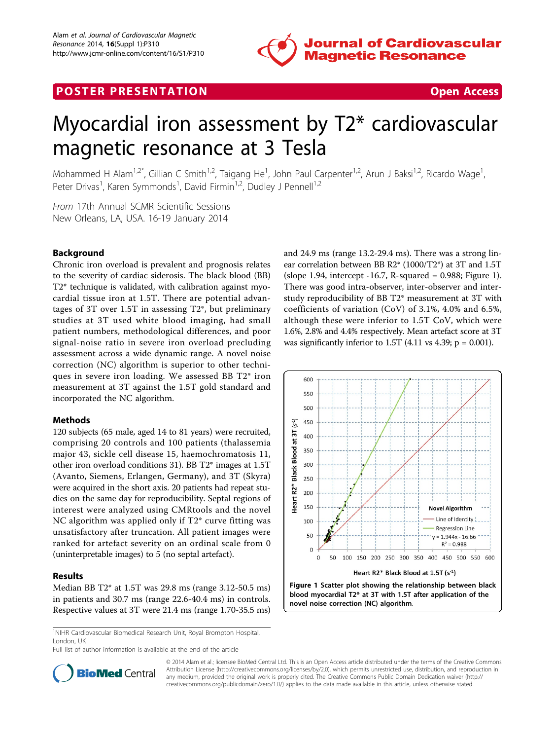# **POSTER PRESENTATION CONSUMING THE SERVICE SERVICE SERVICES**



# Myocardial iron assessment by T2\* cardiovascular magnetic resonance at 3 Tesla

Mohammed H Alam<sup>1,2\*</sup>, Gillian C Smith<sup>1,2</sup>, Taigang He<sup>1</sup>, John Paul Carpenter<sup>1,2</sup>, Arun J Baksi<sup>1,2</sup>, Ricardo Wage<sup>1</sup> , Peter Drivas<sup>1</sup>, Karen Symmonds<sup>1</sup>, David Firmin<sup>1,2</sup>, Dudley J Pennell<sup>1,2</sup>

From 17th Annual SCMR Scientific Sessions New Orleans, LA, USA. 16-19 January 2014

## Background

Chronic iron overload is prevalent and prognosis relates to the severity of cardiac siderosis. The black blood (BB) T2\* technique is validated, with calibration against myocardial tissue iron at 1.5T. There are potential advantages of 3T over 1.5T in assessing T2\*, but preliminary studies at 3T used white blood imaging, had small patient numbers, methodological differences, and poor signal-noise ratio in severe iron overload precluding assessment across a wide dynamic range. A novel noise correction (NC) algorithm is superior to other techniques in severe iron loading. We assessed BB T2\* iron measurement at 3T against the 1.5T gold standard and incorporated the NC algorithm.

# Methods

120 subjects (65 male, aged 14 to 81 years) were recruited, comprising 20 controls and 100 patients (thalassemia major 43, sickle cell disease 15, haemochromatosis 11, other iron overload conditions 31). BB T2\* images at 1.5T (Avanto, Siemens, Erlangen, Germany), and 3T (Skyra) were acquired in the short axis. 20 patients had repeat studies on the same day for reproducibility. Septal regions of interest were analyzed using CMRtools and the novel NC algorithm was applied only if T2\* curve fitting was unsatisfactory after truncation. All patient images were ranked for artefact severity on an ordinal scale from 0 (uninterpretable images) to 5 (no septal artefact).

#### Results

Median BB T2\* at 1.5T was 29.8 ms (range 3.12-50.5 ms) in patients and 30.7 ms (range 22.6-40.4 ms) in controls. Respective values at 3T were 21.4 ms (range 1.70-35.5 ms)

<sup>1</sup>NIHR Cardiovascular Biomedical Research Unit, Royal Brompton Hospital, London, UK

Full list of author information is available at the end of the article

and 24.9 ms (range 13.2-29.4 ms). There was a strong linear correlation between BB R2\* (1000/T2\*) at 3T and 1.5T (slope 1.94, intercept  $-16.7$ , R-squared = 0.988; Figure 1). There was good intra-observer, inter-observer and interstudy reproducibility of BB T2\* measurement at 3T with coefficients of variation (CoV) of 3.1%, 4.0% and 6.5%, although these were inferior to 1.5T CoV, which were 1.6%, 2.8% and 4.4% respectively. Mean artefact score at 3T was significantly inferior to 1.5T  $(4.11 \text{ vs } 4.39; \text{ p} = 0.001)$ .





© 2014 Alam et al.; licensee BioMed Central Ltd. This is an Open Access article distributed under the terms of the Creative Commons Attribution License [\(http://creativecommons.org/licenses/by/2.0](http://creativecommons.org/licenses/by/2.0)), which permits unrestricted use, distribution, and reproduction in any medium, provided the original work is properly cited. The Creative Commons Public Domain Dedication waiver [\(http://](http://creativecommons.org/publicdomain/zero/1.0/) [creativecommons.org/publicdomain/zero/1.0/](http://creativecommons.org/publicdomain/zero/1.0/)) applies to the data made available in this article, unless otherwise stated.